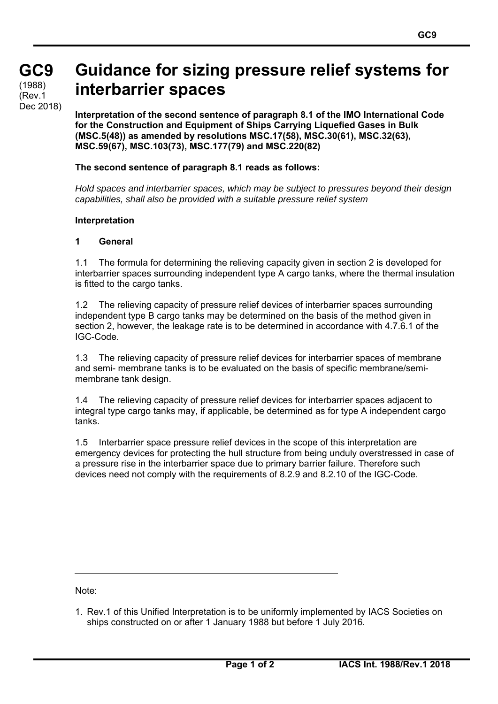## **GC9 GC9**  (1988) (Rev.1

Dec 2018)

# **Guidance for sizing pressure relief systems for interbarrier spaces**

**Interpretation of the second sentence of paragraph 8.1 of the IMO International Code for the Construction and Equipment of Ships Carrying Liquefied Gases in Bulk (MSC.5(48)) as amended by resolutions MSC.17(58), MSC.30(61), MSC.32(63), MSC.59(67), MSC.103(73), MSC.177(79) and MSC.220(82)** 

### **The second sentence of paragraph 8.1 reads as follows:**

*Hold spaces and interbarrier spaces, which may be subject to pressures beyond their design capabilities, shall also be provided with a suitable pressure relief system* 

#### **Interpretation**

#### **1 General**

1.1 The formula for determining the relieving capacity given in section 2 is developed for interbarrier spaces surrounding independent type A cargo tanks, where the thermal insulation is fitted to the cargo tanks.

1.2 The relieving capacity of pressure relief devices of interbarrier spaces surrounding independent type B cargo tanks may be determined on the basis of the method given in section 2, however, the leakage rate is to be determined in accordance with 4.7.6.1 of the IGC-Code.

1.3 The relieving capacity of pressure relief devices for interbarrier spaces of membrane and semi- membrane tanks is to be evaluated on the basis of specific membrane/semimembrane tank design.

1.4 The relieving capacity of pressure relief devices for interbarrier spaces adjacent to integral type cargo tanks may, if applicable, be determined as for type A independent cargo tanks.

1.5 Interbarrier space pressure relief devices in the scope of this interpretation are emergency devices for protecting the hull structure from being unduly overstressed in case of a pressure rise in the interbarrier space due to primary barrier failure. Therefore such devices need not comply with the requirements of 8.2.9 and 8.2.10 of the IGC-Code.

Note:

 $\overline{a}$ 

<sup>1.</sup> Rev.1 of this Unified Interpretation is to be uniformly implemented by IACS Societies on ships constructed on or after 1 January 1988 but before 1 July 2016.